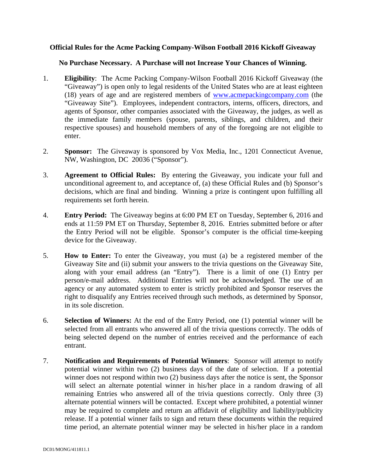## **Official Rules for the Acme Packing Company-Wilson Football 2016 Kickoff Giveaway**

## **No Purchase Necessary. A Purchase will not Increase Your Chances of Winning.**

- 1. **Eligibility**: The Acme Packing Company-Wilson Football 2016 Kickoff Giveaway (the "Giveaway") is open only to legal residents of the United States who are at least eighteen (18) years of age and are registered members of www.acmepackingcompany.com (the "Giveaway Site"). Employees, independent contractors, interns, officers, directors, and agents of Sponsor, other companies associated with the Giveaway, the judges, as well as the immediate family members (spouse, parents, siblings, and children, and their respective spouses) and household members of any of the foregoing are not eligible to enter.
- 2. **Sponsor:** The Giveaway is sponsored by Vox Media, Inc., 1201 Connecticut Avenue, NW, Washington, DC 20036 ("Sponsor").
- 3. **Agreement to Official Rules:** By entering the Giveaway, you indicate your full and unconditional agreement to, and acceptance of, (a) these Official Rules and (b) Sponsor's decisions, which are final and binding. Winning a prize is contingent upon fulfilling all requirements set forth herein.
- 4. **Entry Period:** The Giveaway begins at 6:00 PM ET on Tuesday, September 6, 2016 and ends at 11:59 PM ET on Thursday, September 8, 2016. Entries submitted before or after the Entry Period will not be eligible. Sponsor's computer is the official time-keeping device for the Giveaway.
- 5. **How to Enter:** To enter the Giveaway, you must (a) be a registered member of the Giveaway Site and (ii) submit your answers to the trivia questions on the Giveaway Site, along with your email address (an "Entry"). There is a limit of one (1) Entry per person/e-mail address. Additional Entries will not be acknowledged. The use of an agency or any automated system to enter is strictly prohibited and Sponsor reserves the right to disqualify any Entries received through such methods, as determined by Sponsor, in its sole discretion.
- 6. **Selection of Winners:** At the end of the Entry Period, one (1) potential winner will be selected from all entrants who answered all of the trivia questions correctly. The odds of being selected depend on the number of entries received and the performance of each entrant.
- 7. **Notification and Requirements of Potential Winners**: Sponsor will attempt to notify potential winner within two (2) business days of the date of selection. If a potential winner does not respond within two (2) business days after the notice is sent, the Sponsor will select an alternate potential winner in his/her place in a random drawing of all remaining Entries who answered all of the trivia questions correctly. Only three (3) alternate potential winners will be contacted. Except where prohibited, a potential winner may be required to complete and return an affidavit of eligibility and liability/publicity release. If a potential winner fails to sign and return these documents within the required time period, an alternate potential winner may be selected in his/her place in a random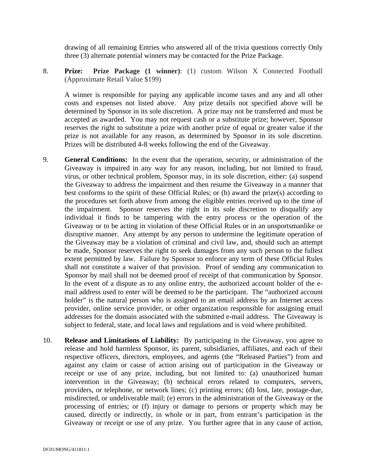drawing of all remaining Entries who answered all of the trivia questions correctly Only three (3) alternate potential winners may be contacted for the Prize Package.

8. **Prize: Prize Package (1 winner)**: (1) custom Wilson X Connected Football (Approximate Retail Value \$199)

A winner is responsible for paying any applicable income taxes and any and all other costs and expenses not listed above. Any prize details not specified above will be determined by Sponsor in its sole discretion. A prize may not be transferred and must be accepted as awarded. You may not request cash or a substitute prize; however, Sponsor reserves the right to substitute a prize with another prize of equal or greater value if the prize is not available for any reason, as determined by Sponsor in its sole discretion. Prizes will be distributed 4-8 weeks following the end of the Giveaway.

- 9. **General Conditions:** In the event that the operation, security, or administration of the Giveaway is impaired in any way for any reason, including, but not limited to fraud, virus, or other technical problem, Sponsor may, in its sole discretion, either: (a) suspend the Giveaway to address the impairment and then resume the Giveaway in a manner that best conforms to the spirit of these Official Rules; or (b) award the prize(s) according to the procedures set forth above from among the eligible entries received up to the time of the impairment. Sponsor reserves the right in its sole discretion to disqualify any individual it finds to be tampering with the entry process or the operation of the Giveaway or to be acting in violation of these Official Rules or in an unsportsmanlike or disruptive manner. Any attempt by any person to undermine the legitimate operation of the Giveaway may be a violation of criminal and civil law, and, should such an attempt be made, Sponsor reserves the right to seek damages from any such person to the fullest extent permitted by law. Failure by Sponsor to enforce any term of these Official Rules shall not constitute a waiver of that provision. Proof of sending any communication to Sponsor by mail shall not be deemed proof of receipt of that communication by Sponsor. In the event of a dispute as to any online entry, the authorized account holder of the email address used to enter will be deemed to be the participant. The "authorized account holder" is the natural person who is assigned to an email address by an Internet access provider, online service provider, or other organization responsible for assigning email addresses for the domain associated with the submitted e-mail address. The Giveaway is subject to federal, state, and local laws and regulations and is void where prohibited.
- 10. **Release and Limitations of Liability:** By participating in the Giveaway, you agree to release and hold harmless Sponsor, its parent, subsidiaries, affiliates, and each of their respective officers, directors, employees, and agents (the "Released Parties") from and against any claim or cause of action arising out of participation in the Giveaway or receipt or use of any prize, including, but not limited to: (a) unauthorized human intervention in the Giveaway; (b) technical errors related to computers, servers, providers, or telephone, or network lines; (c) printing errors; (d) lost, late, postage-due, misdirected, or undeliverable mail; (e) errors in the administration of the Giveaway or the processing of entries; or (f) injury or damage to persons or property which may be caused, directly or indirectly, in whole or in part, from entrant's participation in the Giveaway or receipt or use of any prize. You further agree that in any cause of action,